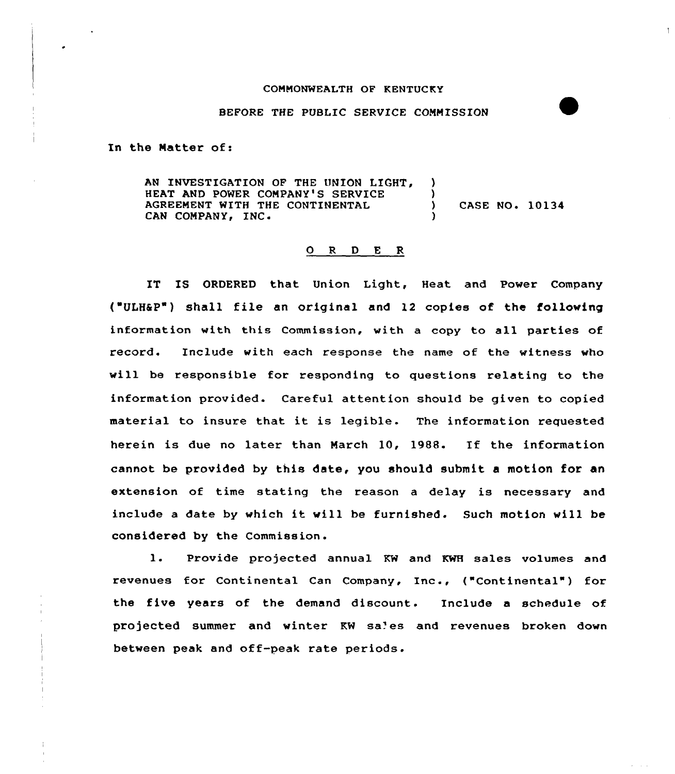## COMMONWEALTH OF KENTUCKY

## BEFORE THE PUBLIC SERVICE COMMISSION

In the Matter of:

AN INVESTIGATION OF THE UNION LIGHT, )<br>HEAT AND POWER COMPANY'S SERVICE HEAT AND POWER COMPANY'S SERVICE (3) AGREEMENT WITH THE CONTINENTAL (3) CASE NO. 10134 CAN COMPANY, INC.

## 0 <sup>R</sup> <sup>D</sup> E <sup>R</sup>

IT IS ORDERED that Union Light, Heat and Power Company  $("ULH\&P")$  shall file an original and 12 copies of the following information with this Commission, with a copy to all parties of record. Include with each response the name of the witness who will be responsible for respanding to questions relating ta the information provided. Careful attention should be given to copied material to insure that it is legible. The information requested herein is due no later than March 10, 1988. If the information cannot be provided by this date, you should submit a motion for an extension of time stating the reason a delay is necessary and include a date by which it will be furnished. Such motion will be considered by the Commission.

1. Provide projected annual KW and KWH sales volumes and revenues for Continental Can Company, Inc., ("Continental") for the five years of the demand discount. Include a schedule of projected summer and winter KW sa'es and revenues broken down between peak and off-peak rate periods.